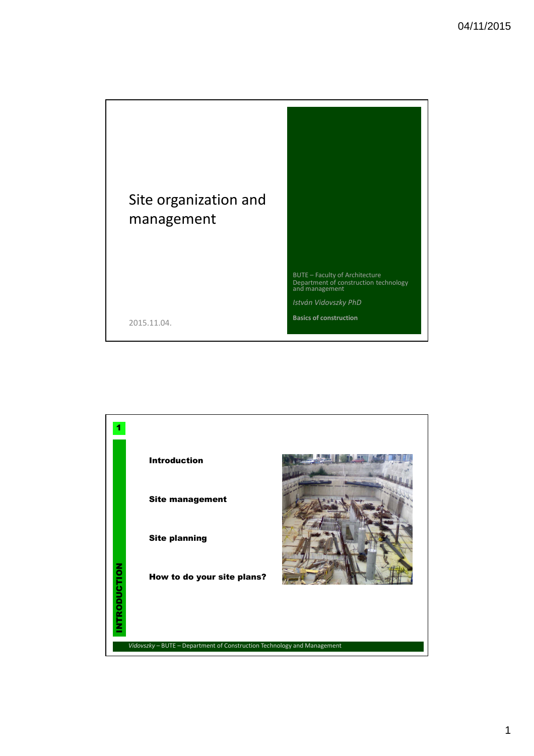



1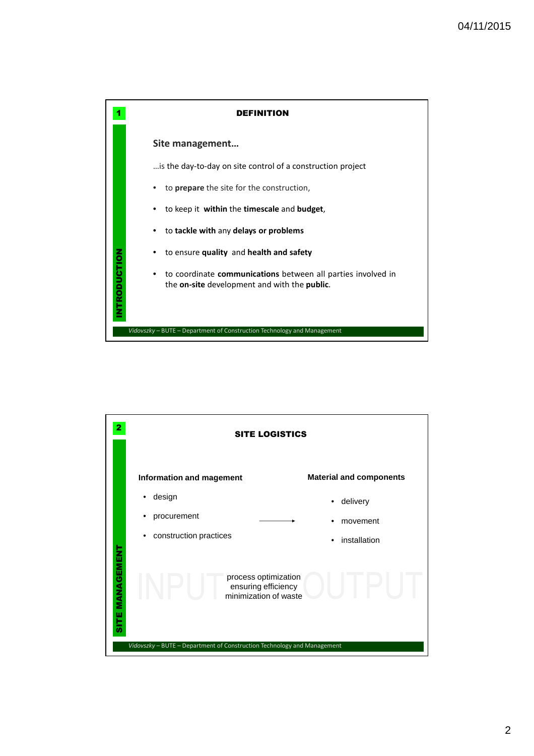

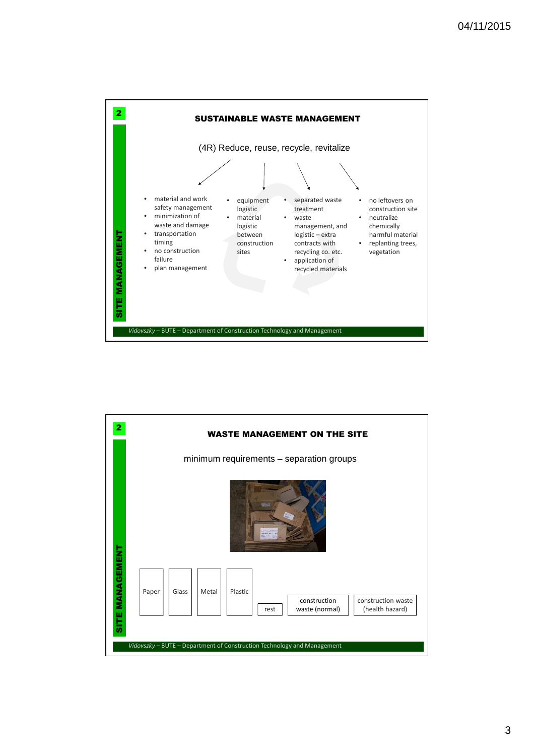

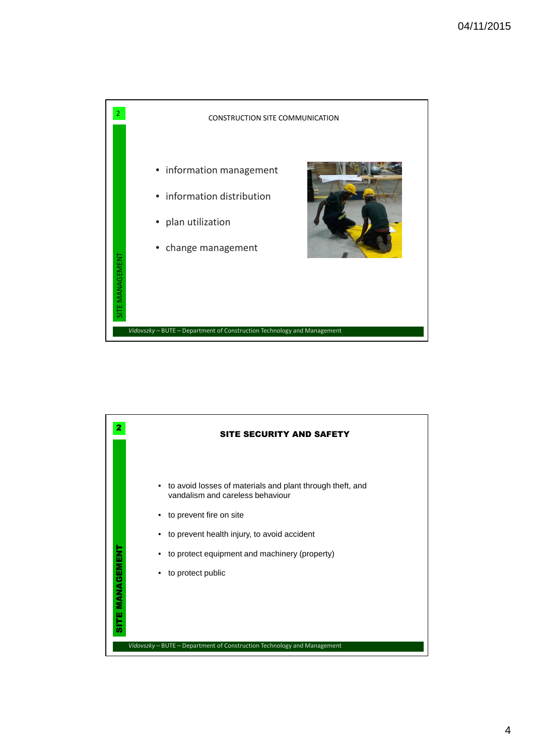

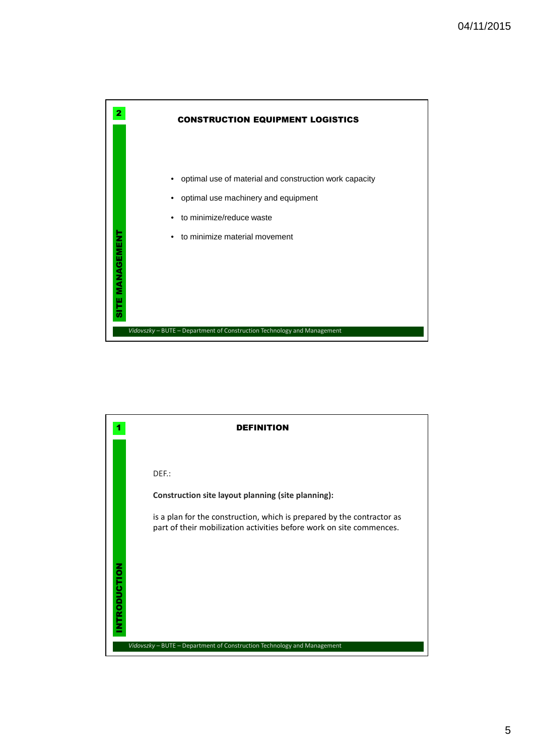

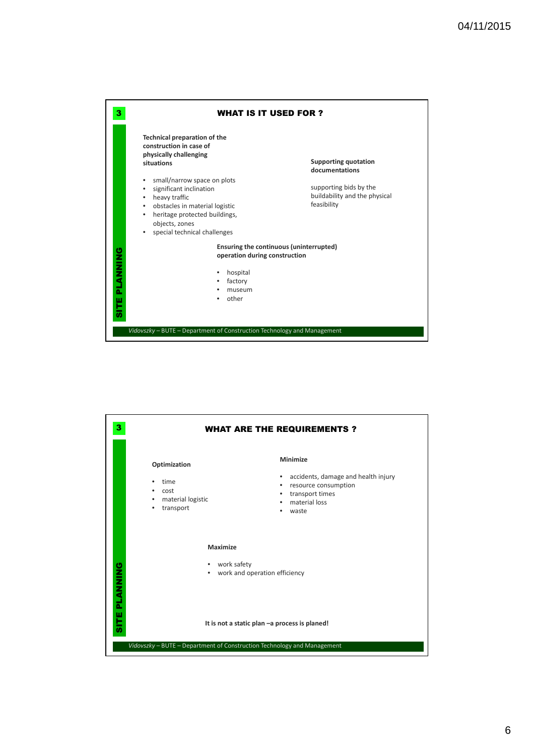

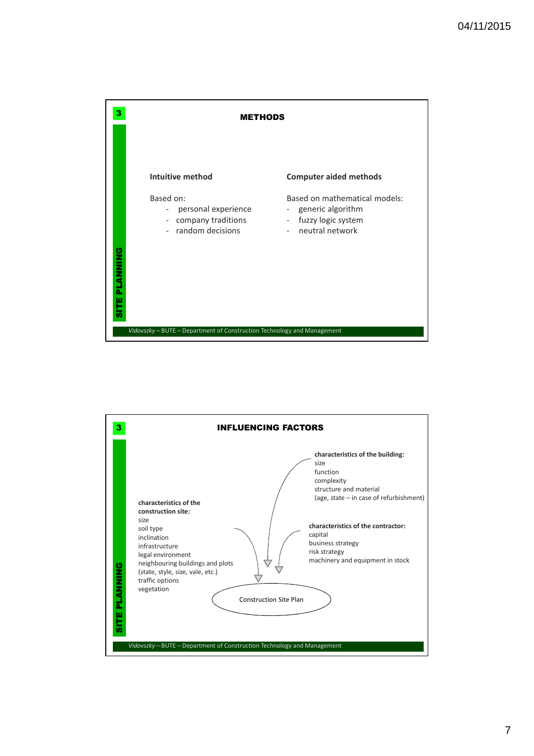

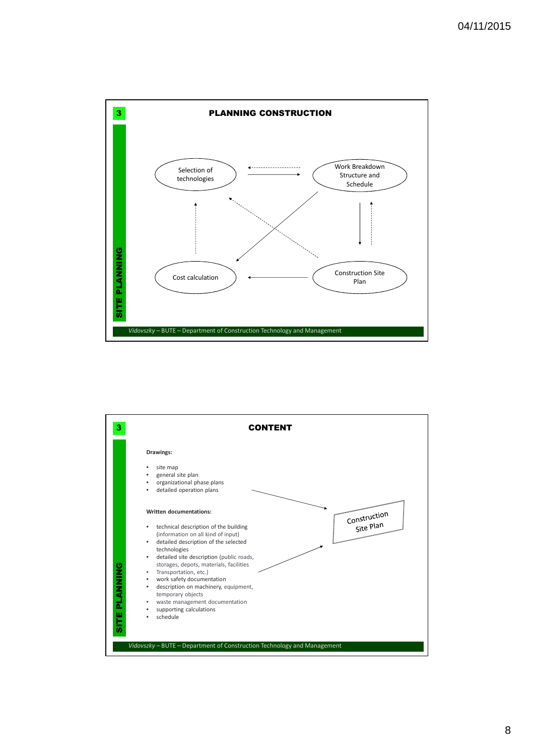

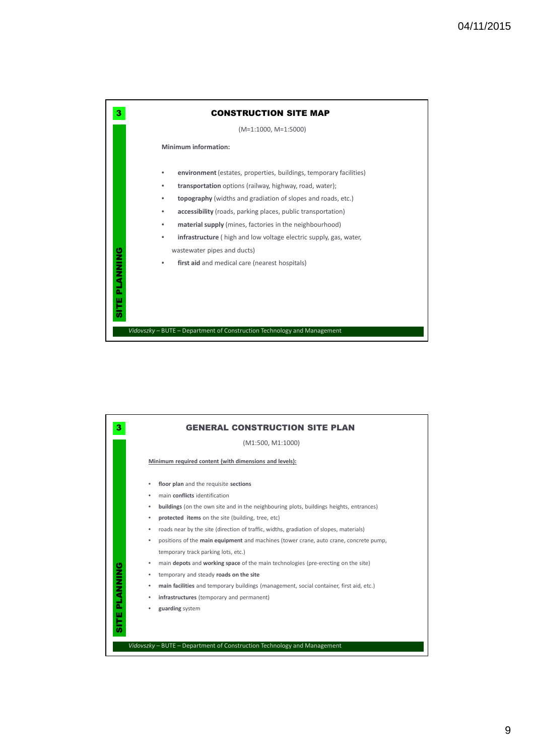

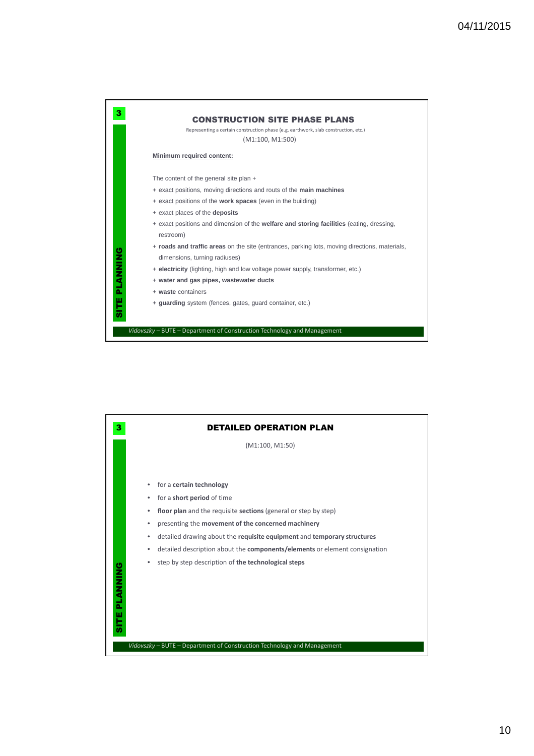

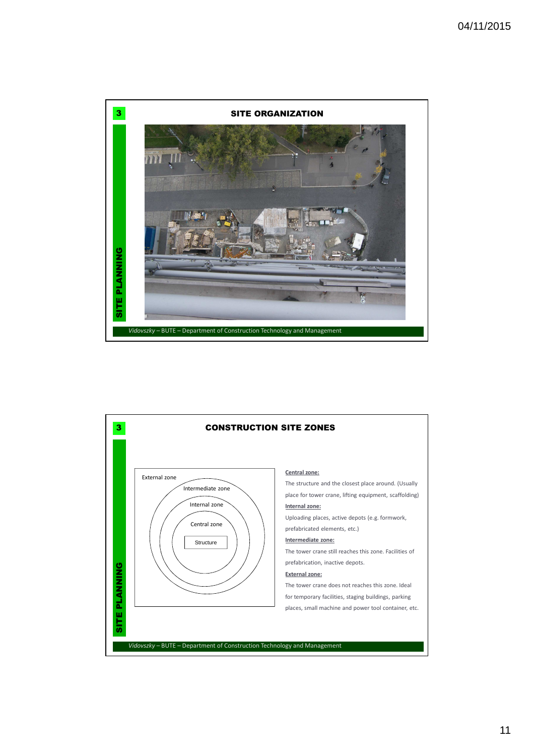

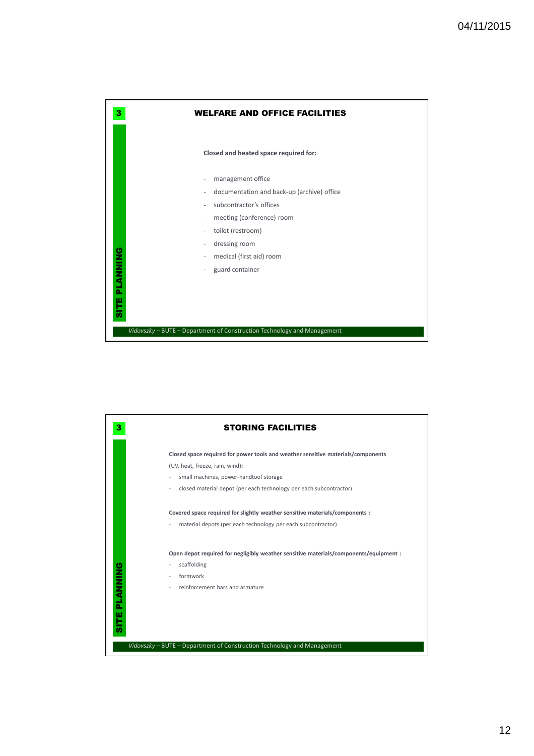

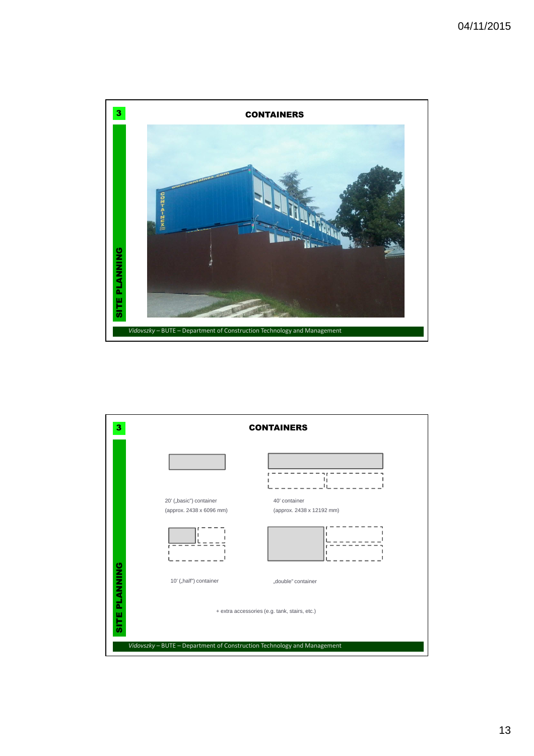

| 3                                                                       | <b>CONTAINERS</b>                                   |                                            |  |
|-------------------------------------------------------------------------|-----------------------------------------------------|--------------------------------------------|--|
|                                                                         |                                                     | ш                                          |  |
|                                                                         | 20' ("basic") container<br>(approx. 2438 x 6096 mm) | 40' container<br>(approx. 2438 x 12192 mm) |  |
|                                                                         |                                                     |                                            |  |
|                                                                         | 10' ("half") container                              | "double" container                         |  |
| <b>SITE PLANNING</b><br>+ extra accessories (e.g. tank, stairs, etc.)   |                                                     |                                            |  |
| Vidovszky - BUTE - Department of Construction Technology and Management |                                                     |                                            |  |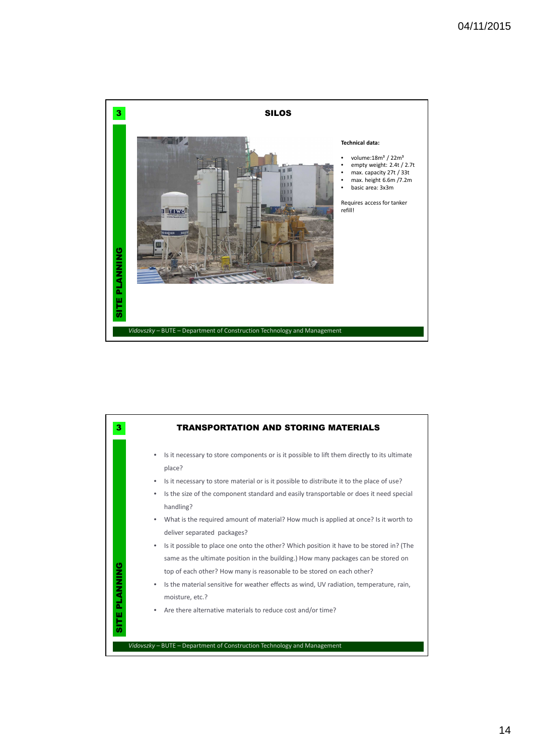

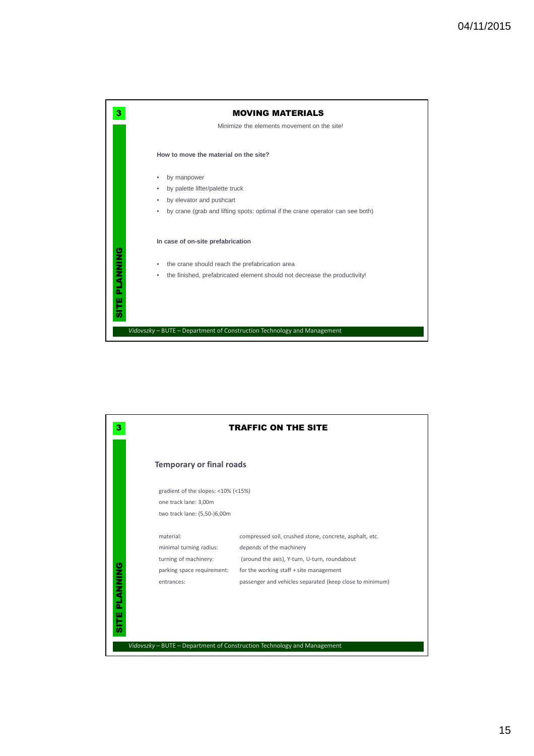

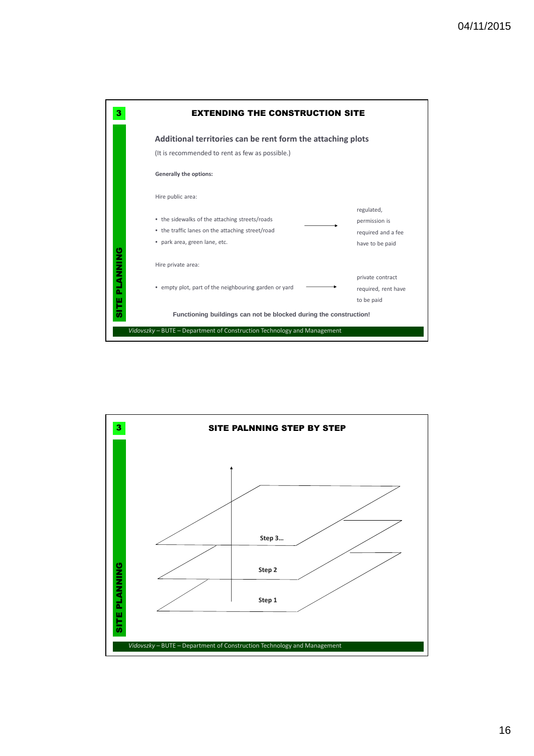

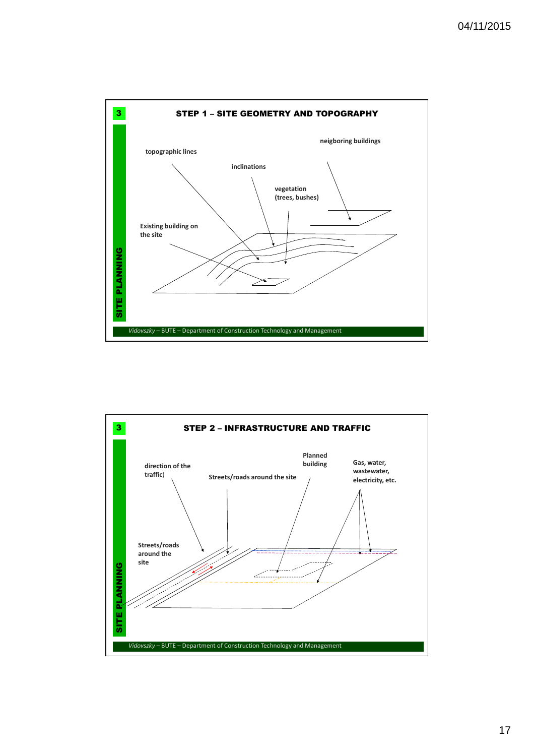

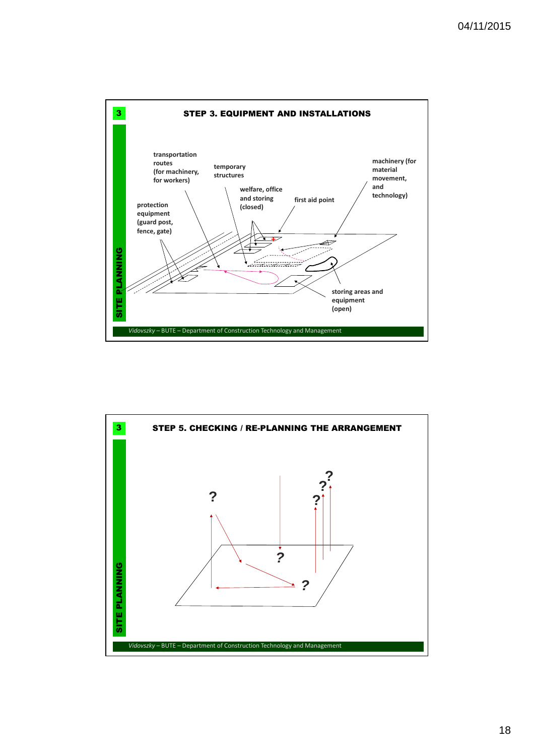